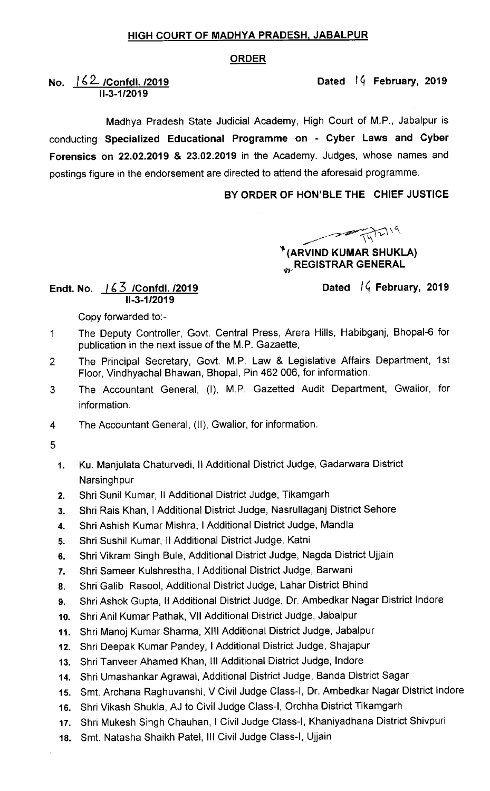#### HIGH COURT OF MADHYA PRADESH, JABALPUR

#### ORDER

Dated 14 February, 2019

## No.  $162$  /Confdl.  $/2019$ 11-3.1/2019

Madhya Pradesh State Judicial Academy, High Court of M.P., Jabalpur is conducting Specialized Educational Programme on - Cyber Laws and Cyber Forensics on 22,02.2019 & 23.02.2019 in the Academy. Judges, whose names and postings figure in the endorsement are directed to attend the aforesaid programme.

## BY ORDER OF HON'BLE THE CHIEF JUSTICE

 $\sqrt{\frac{1}{N}}$  (ARVIND KUMAR SHUKLA)

# **REGISTRAR GENERAL**

#### Endt. No. <u>/ 6 3 /Confdl. /2019</u> 11.3-1 /2019

Dated  $\sqrt{4}$  February, 2019

Copy forwarded to:-

- The Deputy Controller, Govt. Central Press, Arera Hills, Habibganj, Bhopal-6 for  $\mathbf 1$ publication in the next issue of the M.P. Gazaette,
- The Principal Secretary, Govt. M.P. Law & Legislative Affairs Department, 1st  $\overline{2}$ Floor, Vindhyachal Bhawan, Bhopal, Pin 462 006, for information.
- The Accountant General, (I), M.P. Gazetted Audit Department, Gwalior, for 3 information.
- The Accountant General, (11), Gwalior, for information.  $\overline{4}$
- 5
	- 1. Ku. Manjulata chaturvedi, II Additional District Judge, Gadarwara District **Narsinghpur**
	- 2. Shri Sunil Kumar, II Additional District Judge, Tikamgarh
	- 3. Shri Rais Khan, I Additional District Judge, Nasrullaganj District Sehore
	- 4. Shri Ashish Kumar Mishra, I Additional District Judge, Mandla
	- 5. Shri Sushil Kumar, II Additional District Judge, Katni
	- 6. Shri Vikram Singh Bule, Additional District Judge, Nagda District Ujjain
	- 7. Shri Sameer Kulshrestha, I Additional District Judge, Barwani
	- 8. Shri Galib Rasool, Additional District Judge, Lahar District Bhind
	- 9. Shri Ashok Gupta, ll Additional District Judge, Dr. Ambedkar Nagar District lndore
	- 10. Shri Anil Kumar Pathak, VII Additional District Judge, Jabalpur
	- 11. Shri Manoj Kumar Sharma, XllI Additional District Judge, Jabalpur
	- 12. Shri Deepak Kumar Pandey, I Additional District Judge, Shajapur
	- 13. Shri Tanveer Ahamed Khan, III Additional District Judge, Indore
	- 14. Shri Umashankar Agrawal, Additional District Judge, Banda District Sagar
	- 15. Smt. Archana Raghuvanshi, V Civil Judge Class-I, Dr. Ambedkar Nagar District lndore
	- 16. Shri Vikash Shukla, AJ to Civil Judge Class-I, Orchha District Tikamgarh
	- 17. Shri Mukesh Singh Chauhan, I Civil Judge Class-I, Khaniyadhana District Shivpuri
	- 18. Smt. Natasha Shaikh Patel, III Civil Judge Class-I, Ujjain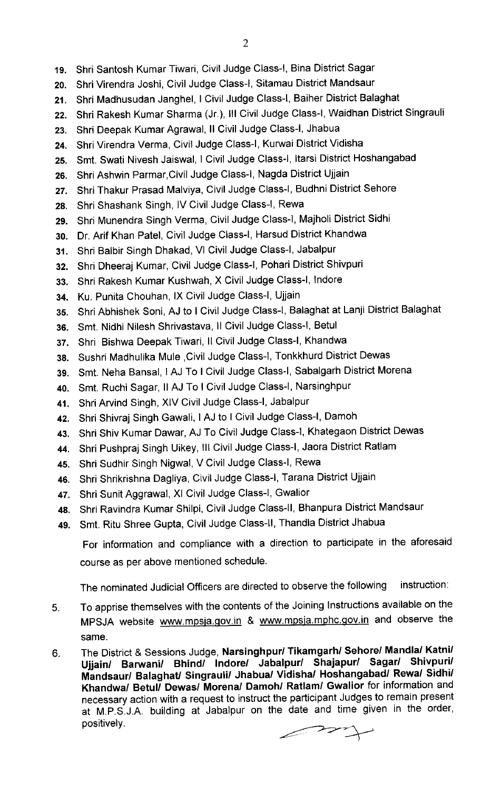- 20 Shri Virendra Joshi, Civil Judge Class-I, Sitamau District Mandsaur
- 21 Shri Madhusudan Janghel, I Civil Judge Class-I, Baiher District Balaghat
- 22 Shri Rakesh Kumar Sharma (Jr.), III Civil Judge Class-I, Waidhan District Singrauli
- 23 Shri Deepak Kumar Agrawal, II Civil Judge Class-I, Jhabua
- 24 Shri Virendra Verma, Civil Judge Class-I, Kurvai District Vidisha
- $25.$ Smt. Swati Nivesh Jaiswal, I Civil Judge Class-I, Itarsi District Hoshangabad
- 26. Shri Ashwin Parmar,Civil Judge Class-I, Nagda District Ujjain
- 27. Shri Thakur Prasad Malviya, Civil Judge Class-I, Budhni District Sehore
- 28. Shri Shashank Singh, IV Civil Judge Class-I, Rewa
- 29. Shri Munendra Singh Verma, Civil Judge Class-I, Majholi District Sidhi
- 3o. Dr. Arif Khan Patel, Civil Judge Class-I, Harsud District Khandwa
- 31. Shri Balbir Singh Dhakad, VI Civil Judge Class-I, Jabalpur
- 32. Shri Dheeraj Kumar, Civil Judge Class-I, Pohari District Shivpuri
- 33. Shri Rakesh Kumar Kushwah, X Civil Judge Class-I, Indore
- 34. Ku. Punita Chouhan, lx Civil Judge Class-I, Ujjain
- 35. Shri Abhishek Soni, AJ to I Civil Judge Class-I, Balaghat at Lanji District Balaghat
- 36. Smt. Nidhi Nilesh Shrivastava, Il Civil Judge Class-I, Betul
- 37. Shri Bishwa Deepak Tiwari, Il Civil Judge Class-I, Khandwa
- 38. Sushri Madhulika Mule ,Civil Judge Class-I, Tonkkhurd District Dewas
- 39. Smt. Neha Bansal, I AJ To I Civil Judge Class-I, Sabalgarh District Morena
- 40. Smt. Ruchi Sagar, II AJ To I Civil Judge Class-I, Narsinghpur
- 41. Shri Arvind Singh, XIV Civil Judge Class-I, Jabalpur
- 42. Shri Shivraj Singh Gawali, I AJ to I Civil Judge Class-I, Damoh
- 43. Shri Shiv Kumar Dawar, AJ To Civil Judge Class-I, Khategaon District Dewas
- 44. Shri Pushpraj Singh Uikey, III Civil Judge Class-I, Jaora District Ratlam
- 45. Shri Sudhir Singh Nigwal, V Civil Judge Class-I, Rewa
- 46. Shri Shrikrishna Dagliya, Civil Judge Class-I, Tarana District Ujjain
- 47. Shri Sunit Aggrawal, XI Civil Judge Class-I, Gwalior
- 48. Shri Ravindra Kumar Shilpi, Civil Judge Class-ll, Bhanpura District Mandsaur
- 49. Smt. Ritu Shree Gupta, Civil Judge Class-ll, Thandla District Jhabua

For information and compliance with a direction to participate in the aforesaid course as per above mentioned schedule.

The nominated Judicial officers are directed to observe the following instruction:

- To apprise themselves with the contents of the Joining Instructions available on the  $5<sub>1</sub>$ MPSJA website www.mpsja.gov.in & www.mpsja.mphc.gov.in and observe the same.
- 6. The District & Sessions Judge, Narsinghpur/Tikamgarh/ Sehore/ Mandla/ Katni/ Ujjain/ Barwani/ Bhind/ Indore/ Jabalpur/ Shajapur/ Sagar/ Shivpuri/ Mandsaur/ Balaghat/ Singrauli/ Jhabua/ Vidisha/ Hoshangabad/ Rewa/ Sidhi/ Khandwa/ Betul/ Dewas/ Morena/ Damoh/ Ratlam/ Gwalior for information and necessary action with a request to instruct the participant Judges to remain present at M.P.S.J.A. building at Jabalpur on the date and time given in the order, positively.